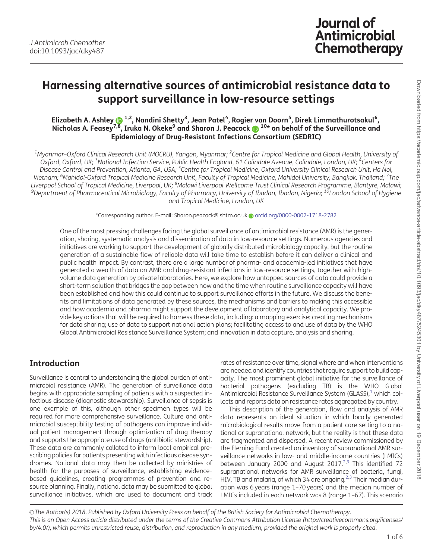# <span id="page-0-0"></span>Harnessing alternative sources of antimicrobial resistance data to support surveillance in low-resource settings

Elizabeth A. Ashley 1,2, Nandini Shetty3 , Jean Patel<sup>4</sup> , Rogier van Doorn<sup>5</sup> , Direk Limmathurotsakul<sup>6</sup> , Nicholas A. Feasey<sup>[7,8](http://orcid.org/0000-0002-7620-4822)</sup>, Iruka N. Okeke<sup>9</sup> and Sharon J. Peacock  $\bigcirc$ <sup>10\*</sup> on behalf of the Surveillance and Epidemiology of Drug-Resistant Infections Consortium (SEDRIC)

 $^{\rm 1}$ Myanmar–Oxford Clinical Research Unit (MOCRU), Yangon, Myanmar; <sup>2</sup>Centre for Tropical Medicine and Global Health, University of Oxford, Oxford, UK; <sup>3</sup>National Infection Service, Public Health England, 61 Colindale Avenue, Colindale, London, UK; <sup>4</sup>Centers for Disease Control and Prevention, Atlanta, GA, USA; <sup>5</sup>Centre for Tropical Medicine, Oxford University Clinical Research Unit, Ha Noi, Vietnam; <sup>6</sup>Mahidol-Oxford Tropical Medicine Research Unit, Faculty of Tropical Medicine, Mahidol University, Bangkok, Thailand; <sup>7</sup>The Liverpool School of Tropical Medicine, Liverpool, UK; <sup>8</sup>Malawi Liverpool Wellcome Trust Clinical Research Programme, Blantyre, Malawi;<br><sup>9</sup>Department of Pharmaceutical Microbiology, Faculty of Pharmacy, University of Ibada <sup>9</sup>Department of Pharmaceutical Microbiology, Faculty of Pharmacy, University of Ibadan, Ibadan, Nigeria; <sup>10</sup>London School of Hygiene and Tropical Medicine, London, UK

\*Corresponding author. E-mail: Sharon.peacock@lshtm.ac.uk @[orcid.org/0000-0002-1718-2782](http://orcid.org/0000-0002-1718-2782)

One of the most pressing challenges facing the global surveillance of antimicrobial resistance (AMR) is the generation, sharing, systematic analysis and dissemination of data in low-resource settings. Numerous agencies and initiatives are working to support the development of globally distributed microbiology capacity, but the routine generation of a sustainable flow of reliable data will take time to establish before it can deliver a clinical and public health impact. By contrast, there are a large number of pharma- and academia-led initiatives that have generated a wealth of data on AMR and drug-resistant infections in low-resource settings, together with highvolume data generation by private laboratories. Here, we explore how untapped sources of data could provide a short-term solution that bridges the gap between now and the time when routine surveillance capacity will have been established and how this could continue to support surveillance efforts in the future. We discuss the benefits and limitations of data generated by these sources, the mechanisms and barriers to making this accessible and how academia and pharma might support the development of laboratory and analytical capacity. We provide key actions that will be required to harness these data, including: a mapping exercise; creating mechanisms for data sharing; use of data to support national action plans; facilitating access to and use of data by the WHO Global Antimicrobial Resistance Surveillance System; and innovation in data capture, analysis and sharing.

# Introduction

Surveillance is central to understanding the global burden of antimicrobial resistance (AMR). The generation of surveillance data begins with appropriate sampling of patients with a suspected infectious disease (diagnostic stewardship). Surveillance of sepsis is one example of this, although other specimen types will be required for more comprehensive surveillance. Culture and antimicrobial susceptibility testing of pathogens can improve individual patient management through optimization of drug therapy and supports the appropriate use of drugs (antibiotic stewardship). These data are commonly collated to inform local empirical prescribing policies for patients presenting with infectious disease syndromes. National data may then be collected by ministries of health for the purposes of surveillance, establishing evidencebased guidelines, creating programmes of prevention and resource planning. Finally, national data may be submitted to global surveillance initiatives, which are used to document and track

rates of resistance over time, signal where and when interventions are needed and identify countries that require support to build capacity. The most prominent global initiative for the surveillance of bacterial pathogens (excluding TB) is the WHO Global Antimicrobial Resistance Surveillance System (GLASS), $<sup>1</sup>$  which col-</sup> lects and reports data on resistance rates aggregated by country.

This description of the generation, flow and analysis of AMR data represents an ideal situation in which locally generated microbiological results move from a patient care setting to a national or supranational network, but the reality is that these data are fragmented and dispersed. A recent review commissioned by the Fleming Fund created an inventory of supranational AMR surveillance networks in low- and middle-income countries (LMICs) between January 2000 and August 2017. $2,3$  $2,3$  This identified 72 supranational networks for AMR surveillance of bacteria, fungi, HIV, TB and malaria, of which 34 are ongoing.<sup>2,3</sup> Their median duration was 6 years (range 1–70 years) and the median number of LMICs included in each network was 8 (range 1–67). This scenario

© The Author(s) 2018. Published by Oxford University Press on behalf of the British Society for Antimicrobial Chemotherapy. This is an Open Access article distributed under the terms of the Creative Commons Attribution License (http://creativecommons.org/licenses/ by/4.0/), which permits unrestricted reuse, distribution, and reproduction in any medium, provided the original work is properly cited.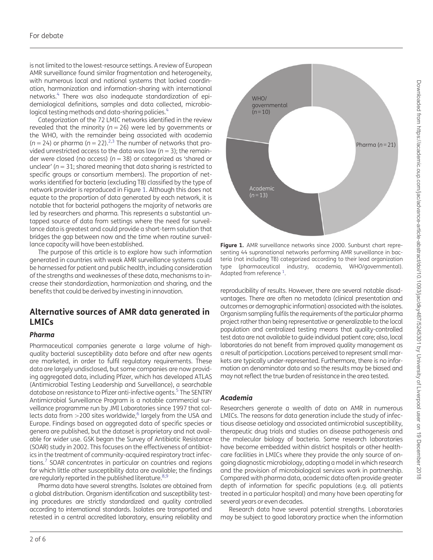<span id="page-1-0"></span>is not limited to the lowest-resource settings. A review of European AMR surveillance found similar fragmentation and heterogeneity, with numerous local and national systems that lacked coordination, harmonization and information-sharing with international networks[.4](#page-4-0) There was also inadequate standardization of epidemiological definitions, samples and data collected, microbio-logical testing methods and data-sharing policies.<sup>[4](#page-4-0)</sup>

Categorization of the 72 LMIC networks identified in the review revealed that the minority ( $n = 26$ ) were led by governments or the WHO, with the remainder being associated with academia  $(n = 24)$  or pharma  $(n = 22).^{2,3}$  The number of networks that provided unrestricted access to the data was low ( $n = 3$ ); the remainder were closed (no access) ( $n = 38$ ) or categorized as 'shared or unclear' ( $n = 31$ ; shared meaning that data sharing is restricted to specific groups or consortium members). The proportion of networks identified for bacteria (excluding TB) classified by the type of network provider is reproduced in Figure 1. Although this does not equate to the proportion of data generated by each network, it is notable that for bacterial pathogens the majority of networks are led by researchers and pharma. This represents a substantial untapped source of data from settings where the need for surveillance data is greatest and could provide a short-term solution that bridges the gap between now and the time when routine surveillance capacity will have been established.

The purpose of this article is to explore how such information generated in countries with weak AMR surveillance systems could be harnessed for patient and public health, including consideration of the strengths and weaknesses of these data, mechanisms to increase their standardization, harmonization and sharing, and the benefits that could be derived by investing in innovation.

### Alternative sources of AMR data generated in LMICs

#### Pharma

Pharmaceutical companies generate a large volume of highquality bacterial susceptibility data before and after new agents are marketed, in order to fulfil regulatory requirements. These data are largely undisclosed, but some companies are now providing aggregated data, including Pfizer, which has developed ATLAS (Antimicrobial Testing Leadership and Surveillance), a searchable database on resistance to Pfizer anti-infective agents.<sup>5</sup> The SENTRY Antimicrobial Surveillance Program is a notable commercial surveillance programme run by JMI Laboratories since 1997 that collects data from  $>$ 200 sites worldwide,<sup>6</sup> largely from the USA and Europe. Findings based on aggregated data of specific species or genera are published, but the dataset is proprietary and not available for wider use. GSK began the Survey of Antibiotic Resistance (SOAR) study in 2002. This focuses on the effectiveness of antibiotics in the treatment of community-acquired respiratory tract infections[.7](#page-4-0) SOAR concentrates in particular on countries and regions for which little other susceptibility data are available; the findings are regularly reported in the published literature.<sup>8,9</sup>

Pharma data have several strengths. Isolates are obtained from a global distribution. Organism identification and susceptibility testing procedures are strictly standardized and quality controlled according to international standards. Isolates are transported and retested in a central accredited laboratory, ensuring reliability and



Figure 1. AMR surveillance networks since 2000. Sunburst chart representing 44 supranational networks performing AMR surveillance in bacteria (not including TB) categorized according to their lead organization type (pharmaceutical industry, academia, WHO/governmental). Adapted from reference  $^1$  $^1$ .

reproducibility of results. However, there are several notable disadvantages. There are often no metadata (clinical presentation and outcomes or demographic information) associated with the isolates. Organism sampling fulfils the requirements of the particular pharma project rather than being representative or generalizable to the local population and centralized testing means that quality-controlled test data are not available to guide individual patient care; also, local laboratories do not benefit from improved quality management as a result of participation. Locations perceived to represent small markets are typically under-represented. Furthermore, there is no information on denominator data and so the results may be biased and may not reflect the true burden of resistance in the area tested.

#### Academia

Researchers generate a wealth of data on AMR in numerous LMICs. The reasons for data generation include the study of infectious disease aetiology and associated antimicrobial susceptibility, therapeutic drug trials and studies on disease pathogenesis and the molecular biology of bacteria. Some research laboratories have become embedded within district hospitals or other healthcare facilities in LMICs where they provide the only source of ongoing diagnostic microbiology, adopting a model in which research and the provision of microbiological services work in partnership. Compared with pharma data, academic data often provide greater depth of information for specific populations (e.g. all patients treated in a particular hospital) and many have been operating for several years or even decades.

Research data have several potential strengths. Laboratories may be subject to good laboratory practice when the information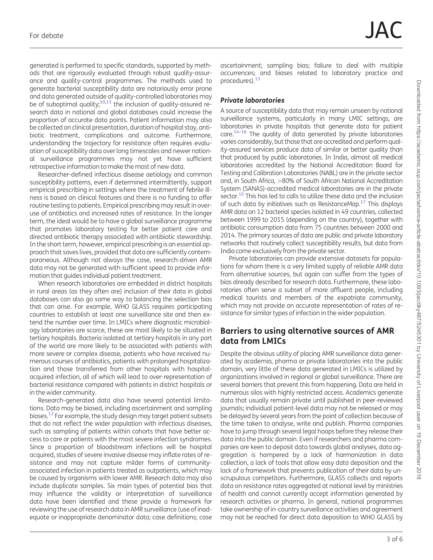<span id="page-2-0"></span>generated is performed to specific standards, supported by methods that are rigorously evaluated through robust quality-assurance and quality-control programmes. The methods used to generate bacterial susceptibility data are notoriously error prone and data generated outside of quality-controlled laboratories may be of suboptimal quality; $10,11$  the inclusion of quality-assured research data in national and global databases could increase the proportion of accurate data points. Patient information may also be collected on clinical presentation, duration of hospital stay, antibiotic treatment, complications and outcome. Furthermore, understanding the trajectory for resistance often requires evaluation of susceptibility data over long timescales and newer national surveillance programmes may not yet have sufficient retrospective information to make the most of new data.

Researcher-defined infectious disease aetiology and common susceptibility patterns, even if determined intermittently, support empirical prescribing in settings where the treatment of febrile illness is based on clinical features and there is no funding to offer routine testing to patients. Empirical prescribing may result in overuse of antibiotics and increased rates of resistance. In the longer term, the ideal would be to have a global surveillance programme that promotes laboratory testing for better patient care and directed antibiotic therapy associated with antibiotic stewardship. In the short term, however, empirical prescribing is an essential approach that saves lives, provided that data are sufficiently contemporaneous. Although not always the case, research-driven AMR data may not be generated with sufficient speed to provide information that guides individual patient treatment.

When research laboratories are embedded in district hospitals in rural areas (as they often are) inclusion of their data in global databases can also go some way to balancing the selection bias that can arise. For example, WHO GLASS requires participating countries to establish at least one surveillance site and then extend the number over time. In LMICs where diagnostic microbiology laboratories are scarce, these are most likely to be situated in tertiary hospitals. Bacteria isolated at tertiary hospitals in any part of the world are more likely to be associated with patients with more severe or complex disease, patients who have received numerous courses of antibiotics, patients with prolonged hospitalization and those transferred from other hospitals with hospitalacquired infection, all of which will lead to over-representation of bacterial resistance compared with patients in district hospitals or in the wider community.

Research-generated data also have several potential limitations. Data may be biased, including ascertainment and sampling biases[.12](#page-4-0) For example, the study design may target patient subsets that do not reflect the wider population with infectious diseases, such as sampling of patients within cohorts that have better access to care or patients with the most severe infection syndromes. Since a proportion of bloodstream infections will be hospital acquired, studies of severe invasive disease may inflate rates of resistance and may not capture milder forms of communityassociated infection in patients treated as outpatients, which may be caused by organisms with lower AMR. Research data may also include duplicate samples. Six main types of potential bias that may influence the validity or interpretation of surveillance data have been identified and these provide a framework for reviewing the use of research data in AMR surveillance (use of inadequate or inappropriate denominator data; case definitions; case

ascertainment; sampling bias; failure to deal with multiple occurrences; and biases related to laboratory practice and procedures).[13](#page-4-0)

#### Private laboratories

A source of susceptibility data that may remain unseen by national surveillance systems, particularly in many LMIC settings, are laboratories in private hospitals that generate data for patient  $care.<sup>14-16</sup>$  The quality of data generated by private laboratories varies considerably, but those that are accredited and perform quality-assured services produce data of similar or better quality than that produced by public laboratories. In India, almost all medical laboratories accredited by the National Accreditation Board for Testing and Calibration Laboratories (NABL) are in the private sector and, in South Africa, >80% of South African National Accreditation System (SANAS)-accredited medical laboratories are in the private sector.<sup>[15](#page-4-0)</sup> This has led to calls to utilize these data and the inclusion of such data by initiatives such as ResistanceMap.<sup>17</sup> This displays AMR data on 12 bacterial species isolated in 49 countries, collected between 1999 to 2015 (depending on the country), together with antibiotic consumption data from 75 countries between 2000 and 2014. The primary sources of data are public and private laboratory networks that routinely collect susceptibility results, but data from India come exclusively from the private sector.

Private laboratories can provide extensive datasets for populations for whom there is a very limited supply of reliable AMR data from alternative sources, but again can suffer from the types of bias already described for research data. Furthermore, these laboratories often serve a subset of more affluent people, including medical tourists and members of the expatriate community, which may not provide an accurate representation of rates of resistance for similar types of infection in the wider population.

### Barriers to using alternative sources of AMR data from LMICs

Despite the obvious utility of placing AMR surveillance data generated by academia, pharma or private laboratories into the public domain, very little of these data generated in LMICs is utilized by organizations involved in regional or global surveillance. There are several barriers that prevent this from happening. Data are held in numerous silos with highly restricted access. Academics generate data that usually remain private until published in peer-reviewed journals; individual patient-level data may not be released or may be delayed by several years from the point of collection because of the time taken to analyse, write and publish. Pharma companies have to jump through several legal hoops before they release their data into the public domain. Even if researchers and pharma companies are keen to deposit data towards global analyses, data aggregation is hampered by a lack of harmonization in data collection, a lack of tools that allow easy data deposition and the lack of a framework that prevents publication of their data by unscrupulous competitors. Furthermore, GLASS collects and reports data on resistance rates aggregated at national level by ministries of health and cannot currently accept information generated by research activities or pharma. In general, national programmes take ownership of in-country surveillance activities and agreement may not be reached for direct data deposition to WHO GLASS by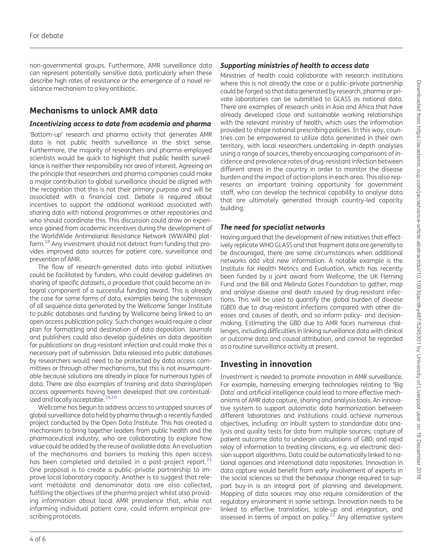<span id="page-3-0"></span>non-governmental groups. Furthermore, AMR surveillance data can represent potentially sensitive data, particularly when these describe high rates of resistance or the emergence of a novel resistance mechanism to a key antibiotic.

# Mechanisms to unlock AMR data

#### Incentivizing access to data from academia and pharma

'Bottom-up' research and pharma activity that generates AMR data is not public health surveillance in the strict sense. Furthermore, the majority of researchers and pharma-employed scientists would be quick to highlight that public health surveillance is neither their responsibility nor area of interest. Agreeing on the principle that researchers and pharma companies could make a major contribution to global surveillance should be aligned with the recognition that this is not their primary purpose and will be associated with a financial cost. Debate is required about incentives to support the additional workload associated with sharing data with national programmes or other repositories and who should coordinate this. This discussion could draw on experience gained from academic incentives during the development of the WorldWide Antimalarial Resistance Network (WWARN) platform[.18](#page-4-0) Any investment should not detract from funding that provides improved data sources for patient care, surveillance and prevention of AMR.

The flow of research-generated data into global initiatives could be facilitated by funders, who could develop guidelines on sharing of specific datasets, a procedure that could become an integral component of a successful funding award. This is already the case for some forms of data, examples being the submission of all sequence data generated by the Wellcome Sanger Institute to public databases and funding by Wellcome being linked to an open access publication policy. Such changes would require a clear plan for formatting and destination of data deposition. Journals and publishers could also develop guidelines on data deposition for publications on drug-resistant infection and could make this a necessary part of submission. Data released into public databases by researchers would need to be protected by data access committees or through other mechanisms, but this is not insurmountable because solutions are already in place for numerous types of data. There are also examples of training and data sharing/open access agreements having been developed that are contextualized and locally acceptable[.19,20](#page-5-0)

Wellcome has begun to address access to untapped sources of global surveillance data held by pharma through a recently funded project conducted by the Open Data Institute. This has created a mechanism to bring together leaders from public health and the pharmaceutical industry, who are collaborating to explore how value could be added by the reuse of available data. An evaluation of the mechanisms and barriers to making this open access has been completed and detailed in a post-project report.<sup>[21](#page-5-0)</sup> One proposal is to create a public–private partnership to improve local laboratory capacity. Another is to suggest that relevant metadata and denominator data are also collected, fulfilling the objectives of the pharma project whilst also providing information about local AMR prevalence that, while not informing individual patient care, could inform empirical prescribing protocols.

#### Supporting ministries of health to access data

Ministries of health could collaborate with research institutions where this is not already the case or a public–private partnership could be forged so that data generated by research, pharma or private laboratories can be submitted to GLASS as national data. There are examples of research units in Asia and Africa that have already developed close and sustainable working relationships with the relevant ministry of health, which uses the information provided to shape national prescribing policies. In this way, countries can be empowered to utilize data generated in their own territory, with local researchers undertaking in-depth analyses using a range of sources, thereby encouraging comparisons of incidence and prevalence rates of drug-resistant infection between different areas in the country in order to monitor the disease burden and the impact of action plans in each area. This also represents an important training opportunity for government staff, who can develop the technical capability to analyse data that are ultimately generated through country-led capacity building.

#### The need for specialist networks

Having argued that the development of new initiatives that effectively replicate WHO GLASS and that fragment data are generally to be discouraged, there are some circumstances when additional networks add vital new information. A notable example is the Institute for Health Metrics and Evaluation, which has recently been funded by a joint award from Wellcome, the UK Fleming Fund and the Bill and Melinda Gates Foundation to gather, map and analyse disease and death caused by drug-resistant infections. This will be used to quantify the global burden of disease (GBD) due to drug-resistant infections compared with other diseases and causes of death, and so inform policy- and decisionmaking. Estimating the GBD due to AMR faces numerous challenges, including difficulties in linking surveillance data with clinical or outcome data and causal attribution, and cannot be regarded as a routine surveillance activity at present.

# Investing in innovation

Investment is needed to promote innovation in AMR surveillance. For example, harnessing emerging technologies relating to 'Big Data' and artificial intelligence could lead to more effective mechanisms of AMR data capture, sharing and analysis tools. An innovative system to support automatic data harmonization between different laboratories and institutions could achieve numerous objectives, including: an inbuilt system to standardize data analysis and quality tests for data from multiple sources; capture of patient outcome data to underpin calculations of GBD; and rapid relay of information to treating clinicians, e.g. via electronic decision support algorithms. Data could be automatically linked to national agencies and international data repositories. Innovation in data capture would benefit from early involvement of experts in the social sciences so that the behaviour change required to support buy-in is an integral part of planning and development. Mapping of data sources may also require consideration of the regulatory environment in some settings. Innovation needs to be linked to effective translation, scale-up and integration, and assessed in terms of impact on policy.<sup>[22](#page-5-0)</sup> Any alternative system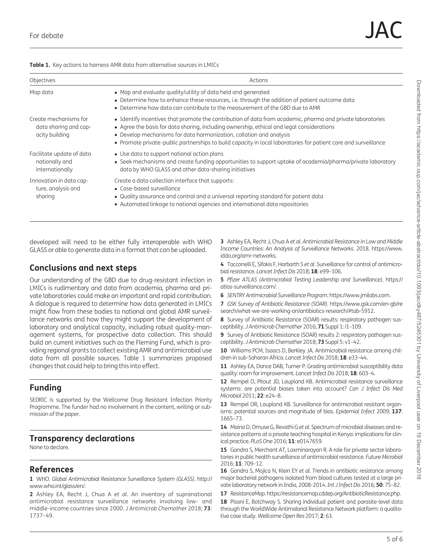<span id="page-4-0"></span>

| Table 1. Key actions to harness AMR data from alternative sources in LMICs |  |  |  |
|----------------------------------------------------------------------------|--|--|--|
|                                                                            |  |  |  |

| Objectives                                                       | Actions                                                                                                                                                                                                                                                                                                                                                                                           |
|------------------------------------------------------------------|---------------------------------------------------------------------------------------------------------------------------------------------------------------------------------------------------------------------------------------------------------------------------------------------------------------------------------------------------------------------------------------------------|
| Map data                                                         | • Map and evaluate quality/utility of data held and generated<br>• Determine how to enhance these resources, i.e. through the addition of patient outcome data<br>• Determine how data can contribute to the measurement of the GBD due to AMR                                                                                                                                                    |
| Create mechanisms for<br>data sharing and cap-<br>acity building | • Identify incentives that promote the contribution of data from academic, pharma and private laboratories<br>• Agree the basis for data sharing, including ownership, ethical and legal considerations<br>• Develop mechanisms for data harmonization, collation and analysis<br>• Promote private-public partnerships to build capacity in local laboratories for patient care and surveillance |
| Facilitate update of data<br>nationally and<br>internationally   | • Use data to support national action plans<br>• Seek mechanisms and create funding opportunities to support uptake of academia/pharma/private laboratory<br>data by WHO GLASS and other data-sharing initiatives                                                                                                                                                                                 |
| Innovation in data cap-<br>ture, analysis and<br>sharing         | Create a data collection interface that supports:<br>• Case-based surveillance<br>• Quality assurance and control and a universal reporting standard for patient data<br>• Automated linkage to national agencies and international data repositories                                                                                                                                             |

developed will need to be either fully interoperable with WHO GLASS or able to generate data in a format that can be uploaded.

## Conclusions and next steps

Our understanding of the GBD due to drug-resistant infection in LMICs is rudimentary and data from academia, pharma and private laboratories could make an important and rapid contribution. A dialogue is required to determine how data generated in LMICs might flow from these bodies to national and global AMR surveillance networks and how they might support the development of laboratory and analytical capacity, including robust quality-management systems, for prospective data collection. This should build on current initiatives such as the Fleming Fund, which is providing regional grants to collect existing AMR and antimicrobial use data from all possible sources. Table 1 summarizes proposed changes that could help to bring this into effect.

# Funding

SEDRIC is supported by the Wellcome Drug Resistant Infection Priority Programme. The funder had no involvement in the content, writing or submission of the paper.

### Transparency declarations

None to declare.

### References

[1](#page-0-0) WHO. Global Antimicrobial Resistance Surveillance System (GLASS). [http://](http://www.who.int/glass/en/) [www.who.int/glass/en/.](http://www.who.int/glass/en/)

[2](#page-0-0) Ashley EA, Recht J, Chua A et al. An inventory of supranational antimicrobial resistance surveillance networks involving low- and middle-income countries since 2000. J Antimicrob Chemother 2018; 73: 1737–49.

[3](#page-0-0) Ashley EA, Recht J, Chua A et al. Antimicrobial Resistance in Low and Middle Income Countries: An Analysis of Surveillance Networks. 2018. [https://www.](https://www.iddo.org/amr-networks) [iddo.org/amr-networks.](https://www.iddo.org/amr-networks)

[4](#page-1-0) Tacconelli E, Sifakis F, Harbarth S et al. Surveillance for control of antimicrobial resistance. Lancet Infect Dis 2018; 18: e99–106.

[5](#page-1-0) Pfizer ATLAS (Antimicrobial Testing Leadership and Surveillance). [https://](https://atlas-surveillance.com/) [atlas-surveillance.com/.](https://atlas-surveillance.com/)

[6](#page-1-0) SENTRY Antimicrobial Surveillance Program. [https://www.jmilabs.com.](https://www.jmilabs.com)

[7](#page-1-0) GSK Survey of Antibiotic Resistance (SOAR). [https://www.gsk.com/en-gb/re](https://www.gsk.com/en-gb/research/what-we-are-working-on/antibiotics-research/#tab-5912) [search/what-we-are-working-on/antibiotics-research/#tab-5912.](https://www.gsk.com/en-gb/research/what-we-are-working-on/antibiotics-research/#tab-5912)

[8](#page-1-0) Survey of Antibiotic Resistance (SOAR) results: respiratory pathogen susceptibility. J Antimicrob Chemother 2016; 71 Suppl 1: i1–109.

[9](#page-1-0) Survey of Antibiotic Resistance (SOAR) results 2: respiratory pathogen susceptibility. J Antimicrob Chemother 2018; 73 Suppl 5: v1–42.

[10](#page-2-0) Williams PCM, Isaacs D, Berkley JA. Antimicrobial resistance among children in sub-Saharan Africa. Lancet Infect Dis 2018; 18: e33–44.

[11](#page-2-0) Ashley EA, Dance DAB, Turner P. Grading antimicrobial susceptibility data quality: room for improvement. Lancet Infect Dis 2018; 18: 603-4.

[12](#page-2-0) Rempel O, Pitout JD, Laupland KB. Antimicrobial resistance surveillance systems: are potential biases taken into account? Can J Infect Dis Med Microbiol 2011; 22: e24–8.

[13](#page-2-0) Rempel OR, Laupland KB. Surveillance for antimicrobial resistant organisms: potential sources and magnitude of bias. Epidemiol Infect 2009; 137: 1665–73.

14 Maina D, Omuse G, Revathi G et al. Spectrum of microbial diseases and resistance patterns at a private teaching hospital in Kenya: implications for clinical practice. PLoS One 2016; 11: e0147659.

[15](#page-2-0) Gandra S, Merchant AT, Laxminarayan R. A role for private sector laboratories in public health surveillance of antimicrobial resistance. Future Microbiol 2016; 11: 709–12.

16 Gandra S, Mojica N, Klein EY et al. Trends in antibiotic resistance among major bacterial pathogens isolated from blood cultures tested at a large private laboratory network in India, 2008-2014.Int J Infect Dis 2016; 50: 75–82.

[17](#page-2-0) ResistanceMap. [https://resistancemap.cddep.org/AntibioticResistance.php.](https://resistancemap.cddep.org/AntibioticResistance.php)

[18](#page-3-0) Pisani E, Botchway S. Sharing individual patient and parasite-level data through the WorldWide Antimalarial Resistance Network platform: a qualitative case study. Wellcome Open Res 2017; 2: 63.